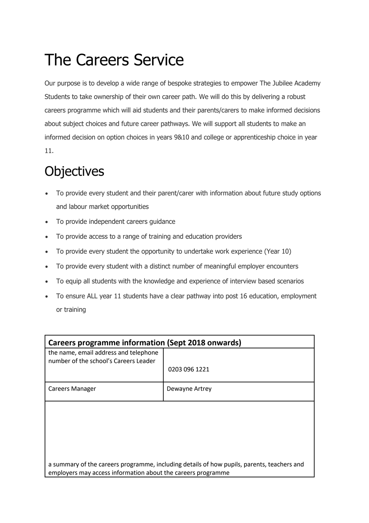## The Careers Service

Our purpose is to develop a wide range of bespoke strategies to empower The Jubilee Academy Students to take ownership of their own career path. We will do this by delivering a robust careers programme which will aid students and their parents/carers to make informed decisions about subject choices and future career pathways. We will support all students to make an informed decision on option choices in years 9&10 and college or apprenticeship choice in year 11.

## **Objectives**

- To provide every student and their parent/carer with information about future study options and labour market opportunities
- To provide independent careers guidance
- To provide access to a range of training and education providers
- To provide every student the opportunity to undertake work experience (Year 10)
- To provide every student with a distinct number of meaningful employer encounters
- To equip all students with the knowledge and experience of interview based scenarios
- To ensure ALL year 11 students have a clear pathway into post 16 education, employment or training

| Careers programme information (Sept 2018 onwards)                                                                                                          |                |
|------------------------------------------------------------------------------------------------------------------------------------------------------------|----------------|
| the name, email address and telephone                                                                                                                      |                |
| number of the school's Careers Leader                                                                                                                      |                |
|                                                                                                                                                            | 0203 096 1221  |
| <b>Careers Manager</b>                                                                                                                                     | Dewayne Artrey |
|                                                                                                                                                            |                |
|                                                                                                                                                            |                |
|                                                                                                                                                            |                |
|                                                                                                                                                            |                |
|                                                                                                                                                            |                |
| a summary of the careers programme, including details of how pupils, parents, teachers and<br>employers may access information about the careers programme |                |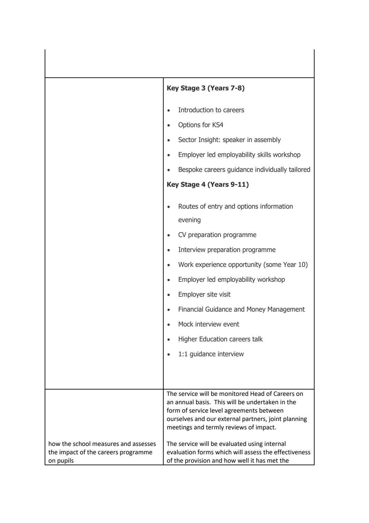|                                                                                          | Key Stage 3 (Years 7-8)                                                                                                                                                                                                                                                                                                                                                                                                                                             |
|------------------------------------------------------------------------------------------|---------------------------------------------------------------------------------------------------------------------------------------------------------------------------------------------------------------------------------------------------------------------------------------------------------------------------------------------------------------------------------------------------------------------------------------------------------------------|
|                                                                                          | Introduction to careers<br>$\bullet$                                                                                                                                                                                                                                                                                                                                                                                                                                |
|                                                                                          | Options for KS4<br>$\bullet$                                                                                                                                                                                                                                                                                                                                                                                                                                        |
|                                                                                          | Sector Insight: speaker in assembly<br>$\bullet$                                                                                                                                                                                                                                                                                                                                                                                                                    |
|                                                                                          | Employer led employability skills workshop<br>$\bullet$                                                                                                                                                                                                                                                                                                                                                                                                             |
|                                                                                          | Bespoke careers guidance individually tailored<br>$\bullet$                                                                                                                                                                                                                                                                                                                                                                                                         |
|                                                                                          | Key Stage 4 (Years 9-11)                                                                                                                                                                                                                                                                                                                                                                                                                                            |
|                                                                                          | Routes of entry and options information<br>$\bullet$<br>evening<br>CV preparation programme<br>$\bullet$<br>Interview preparation programme<br>$\bullet$<br>Work experience opportunity (some Year 10)<br>$\bullet$<br>Employer led employability workshop<br>$\bullet$<br>Employer site visit<br>$\bullet$<br>Financial Guidance and Money Management<br>$\bullet$<br>Mock interview event<br>$\bullet$<br>Higher Education careers talk<br>1:1 guidance interview |
|                                                                                          | The service will be monitored Head of Careers on<br>an annual basis. This will be undertaken in the<br>form of service level agreements between<br>ourselves and our external partners, joint planning<br>meetings and termly reviews of impact.                                                                                                                                                                                                                    |
| how the school measures and assesses<br>the impact of the careers programme<br>on pupils | The service will be evaluated using internal<br>evaluation forms which will assess the effectiveness<br>of the provision and how well it has met the                                                                                                                                                                                                                                                                                                                |